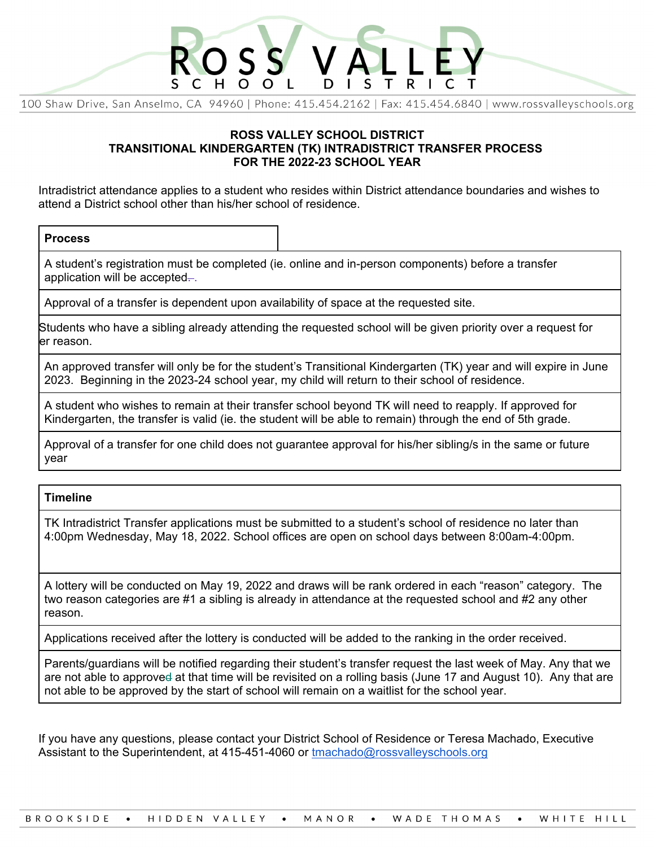

100 Shaw Drive, San Anselmo, CA 94960 | Phone: 415.454.2162 | Fax: 415.454.6840 | www.rossyalleyschools.org

## **ROSS VALLEY SCHOOL DISTRICT TRANSITIONAL KINDERGARTEN (TK) INTRADISTRICT TRANSFER PROCESS FOR THE 2022-23 SCHOOL YEAR**

Intradistrict attendance applies to a student who resides within District attendance boundaries and wishes to attend a District school other than his/her school of residence.

## **Process**

A student's registration must be completed (ie. online and in-person components) before a transfer application will be accepted-.

Approval of a transfer is dependent upon availability of space at the requested site.

Students who have a sibling already attending the requested school will be given priority over a request for er reason.

An approved transfer will only be for the student's Transitional Kindergarten (TK) year and will expire in June 2023. Beginning in the 2023-24 school year, my child will return to their school of residence.

A student who wishes to remain at their transfer school beyond TK will need to reapply. If approved for Kindergarten, the transfer is valid (ie. the student will be able to remain) through the end of 5th grade.

Approval of a transfer for one child does not guarantee approval for his/her sibling/s in the same or future year

## **Timeline**

TK Intradistrict Transfer applications must be submitted to a student's school of residence no later than 4:00pm Wednesday, May 18, 2022. School offices are open on school days between 8:00am-4:00pm.

A lottery will be conducted on May 19, 2022 and draws will be rank ordered in each "reason" category. The two reason categories are #1 a sibling is already in attendance at the requested school and #2 any other reason.

Applications received after the lottery is conducted will be added to the ranking in the order received.

Parents/guardians will be notified regarding their student's transfer request the last week of May. Any that we are not able to approved at that time will be revisited on a rolling basis (June 17 and August 10). Any that are not able to be approved by the start of school will remain on a waitlist for the school year.

If you have any questions, please contact your District School of Residence or Teresa Machado, Executive Assistant to the Superintendent, at 415-451-4060 or tmachado@rossvalleyschools.org